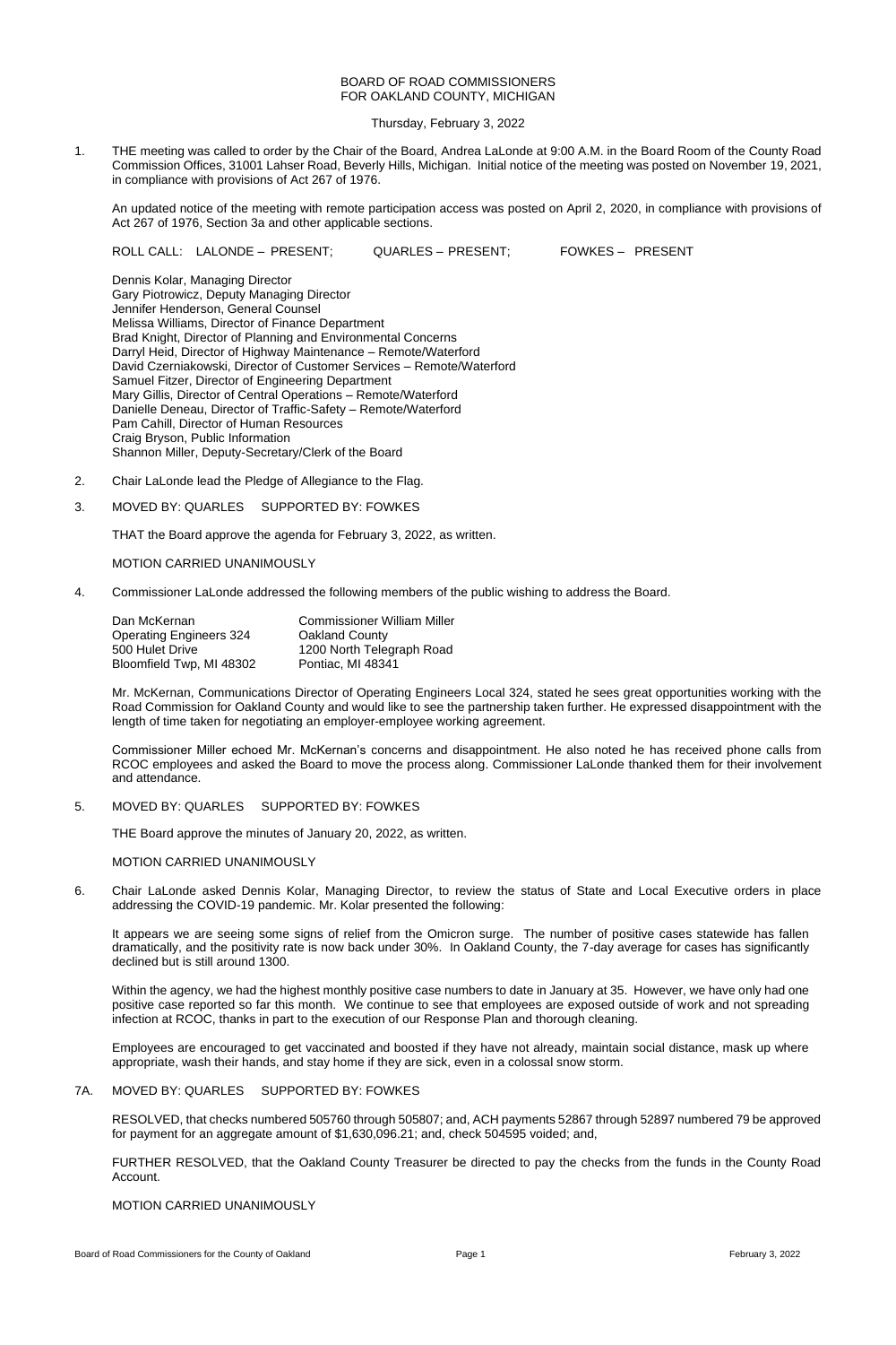### BOARD OF ROAD COMMISSIONERS FOR OAKLAND COUNTY, MICHIGAN

Thursday, February 3, 2022

1. THE meeting was called to order by the Chair of the Board, Andrea LaLonde at 9:00 A.M. in the Board Room of the County Road Commission Offices, 31001 Lahser Road, Beverly Hills, Michigan. Initial notice of the meeting was posted on November 19, 2021, in compliance with provisions of Act 267 of 1976.

An updated notice of the meeting with remote participation access was posted on April 2, 2020, in compliance with provisions of Act 267 of 1976, Section 3a and other applicable sections.

ROLL CALL: LALONDE – PRESENT; QUARLES – PRESENT; FOWKES – PRESENT

Dennis Kolar, Managing Director Gary Piotrowicz, Deputy Managing Director Jennifer Henderson, General Counsel Melissa Williams, Director of Finance Department Brad Knight, Director of Planning and Environmental Concerns Darryl Heid, Director of Highway Maintenance – Remote/Waterford David Czerniakowski, Director of Customer Services – Remote/Waterford Samuel Fitzer, Director of Engineering Department Mary Gillis, Director of Central Operations – Remote/Waterford Danielle Deneau, Director of Traffic-Safety – Remote/Waterford Pam Cahill, Director of Human Resources Craig Bryson, Public Information Shannon Miller, Deputy-Secretary/Clerk of the Board

- 2. Chair LaLonde lead the Pledge of Allegiance to the Flag.
- 3. MOVED BY: QUARLES SUPPORTED BY: FOWKES

THAT the Board approve the agenda for February 3, 2022, as written.

MOTION CARRIED UNANIMOUSLY

4. Commissioner LaLonde addressed the following members of the public wishing to address the Board.

| Dan McKernan                   | <b>Commissioner William Miller</b> |
|--------------------------------|------------------------------------|
| <b>Operating Engineers 324</b> | <b>Oakland County</b>              |
| 500 Hulet Drive                | 1200 North Telegraph Road          |
| Bloomfield Twp, MI 48302       | Pontiac, MI 48341                  |

Mr. McKernan, Communications Director of Operating Engineers Local 324, stated he sees great opportunities working with the Road Commission for Oakland County and would like to see the partnership taken further. He expressed disappointment with the length of time taken for negotiating an employer-employee working agreement.

Commissioner Miller echoed Mr. McKernan's concerns and disappointment. He also noted he has received phone calls from RCOC employees and asked the Board to move the process along. Commissioner LaLonde thanked them for their involvement and attendance.

### 5. MOVED BY: QUARLES SUPPORTED BY: FOWKES

THE Board approve the minutes of January 20, 2022, as written.

# MOTION CARRIED UNANIMOUSLY

6. Chair LaLonde asked Dennis Kolar, Managing Director, to review the status of State and Local Executive orders in place addressing the COVID-19 pandemic. Mr. Kolar presented the following:

It appears we are seeing some signs of relief from the Omicron surge. The number of positive cases statewide has fallen dramatically, and the positivity rate is now back under 30%. In Oakland County, the 7-day average for cases has significantly declined but is still around 1300.

Within the agency, we had the highest monthly positive case numbers to date in January at 35. However, we have only had one positive case reported so far this month. We continue to see that employees are exposed outside of work and not spreading infection at RCOC, thanks in part to the execution of our Response Plan and thorough cleaning.

Employees are encouraged to get vaccinated and boosted if they have not already, maintain social distance, mask up where appropriate, wash their hands, and stay home if they are sick, even in a colossal snow storm.

# 7A. MOVED BY: QUARLES SUPPORTED BY: FOWKES

RESOLVED, that checks numbered 505760 through 505807; and, ACH payments 52867 through 52897 numbered 79 be approved for payment for an aggregate amount of \$1,630,096.21; and, check 504595 voided; and,

FURTHER RESOLVED, that the Oakland County Treasurer be directed to pay the checks from the funds in the County Road Account.

### MOTION CARRIED UNANIMOUSLY

Board of Road Commissioners for the County of Oakland **Page 1** Page 1 **Page 1** Page 1 **Page 1 Page 1 Page 1 Page 1 Page 1 Page 1 Page 1 Page 1 Page 1 Page 1 Page 1 Page 1 Page 1 Page 1 Page 1**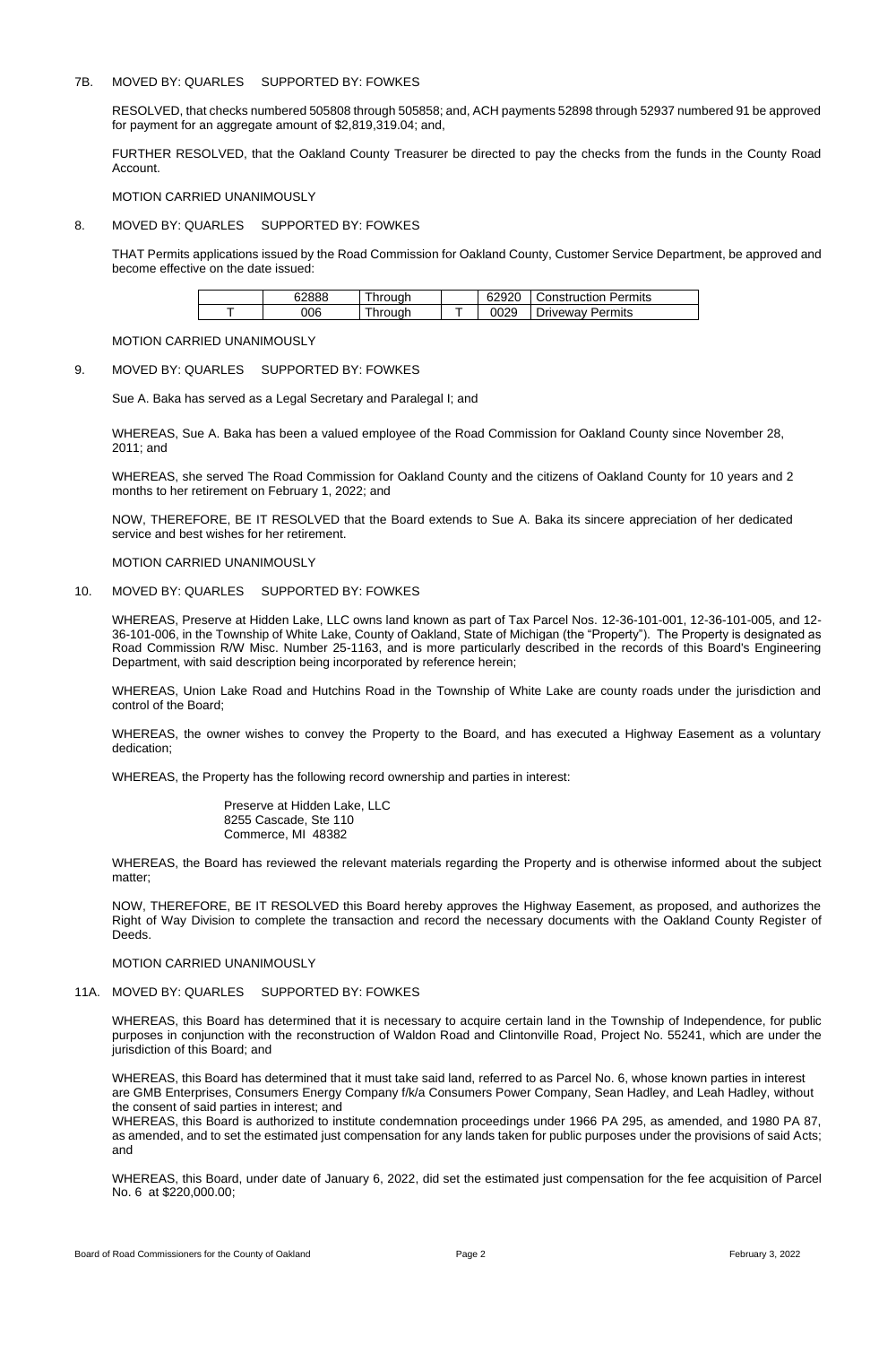### 7B. MOVED BY: QUARLES SUPPORTED BY: FOWKES

RESOLVED, that checks numbered 505808 through 505858; and, ACH payments 52898 through 52937 numbered 91 be approved for payment for an aggregate amount of \$2,819,319.04; and,

FURTHER RESOLVED, that the Oakland County Treasurer be directed to pay the checks from the funds in the County Road Account.

MOTION CARRIED UNANIMOUSLY

### 8. MOVED BY: QUARLES SUPPORTED BY: FOWKES

THAT Permits applications issued by the Road Commission for Oakland County, Customer Service Department, be approved and become effective on the date issued:

| cooo | hrough  | 62920 | Construction Permits |
|------|---------|-------|----------------------|
| J06  | Through | 0029  | Driveway Permits     |

### MOTION CARRIED UNANIMOUSLY

### 9. MOVED BY: QUARLES SUPPORTED BY: FOWKES

Sue A. Baka has served as a Legal Secretary and Paralegal I; and

WHEREAS, Sue A. Baka has been a valued employee of the Road Commission for Oakland County since November 28, 2011; and

WHEREAS, she served The Road Commission for Oakland County and the citizens of Oakland County for 10 years and 2 months to her retirement on February 1, 2022; and

NOW, THEREFORE, BE IT RESOLVED that the Board extends to Sue A. Baka its sincere appreciation of her dedicated service and best wishes for her retirement.

MOTION CARRIED UNANIMOUSLY

10. MOVED BY: QUARLES SUPPORTED BY: FOWKES

WHEREAS, Preserve at Hidden Lake, LLC owns land known as part of Tax Parcel Nos. 12-36-101-001, 12-36-101-005, and 12- 36-101-006, in the Township of White Lake, County of Oakland, State of Michigan (the "Property"). The Property is designated as Road Commission R/W Misc. Number 25-1163, and is more particularly described in the records of this Board's Engineering Department, with said description being incorporated by reference herein;

WHEREAS, Union Lake Road and Hutchins Road in the Township of White Lake are county roads under the jurisdiction and control of the Board;

WHEREAS, the owner wishes to convey the Property to the Board, and has executed a Highway Easement as a voluntary dedication;

WHEREAS, the Property has the following record ownership and parties in interest:

Preserve at Hidden Lake, LLC 8255 Cascade, Ste 110 Commerce, MI 48382

WHEREAS, the Board has reviewed the relevant materials regarding the Property and is otherwise informed about the subject matter;

NOW, THEREFORE, BE IT RESOLVED this Board hereby approves the Highway Easement, as proposed, and authorizes the Right of Way Division to complete the transaction and record the necessary documents with the Oakland County Register of

Deeds.

MOTION CARRIED UNANIMOUSLY

# 11A. MOVED BY: QUARLES SUPPORTED BY: FOWKES

WHEREAS, this Board has determined that it is necessary to acquire certain land in the Township of Independence, for public purposes in conjunction with the reconstruction of Waldon Road and Clintonville Road, Project No. 55241, which are under the jurisdiction of this Board; and

WHEREAS, this Board has determined that it must take said land, referred to as Parcel No. 6, whose known parties in interest are GMB Enterprises, Consumers Energy Company f/k/a Consumers Power Company, Sean Hadley, and Leah Hadley, without the consent of said parties in interest; and

WHEREAS, this Board is authorized to institute condemnation proceedings under 1966 PA 295, as amended, and 1980 PA 87, as amended, and to set the estimated just compensation for any lands taken for public purposes under the provisions of said Acts; and

WHEREAS, this Board, under date of January 6, 2022, did set the estimated just compensation for the fee acquisition of Parcel No. 6 at \$220,000.00;

Board of Road Commissioners for the County of Oakland **Page 2** Page 2 **Page 2 Page 2 Page 2 Page 2 Page 2 Page 2 Page 2 Page 2 Page 2 Page 2 Page 2 Page 2 Page 2 Page 2 Page 2 Page 2 Page 2**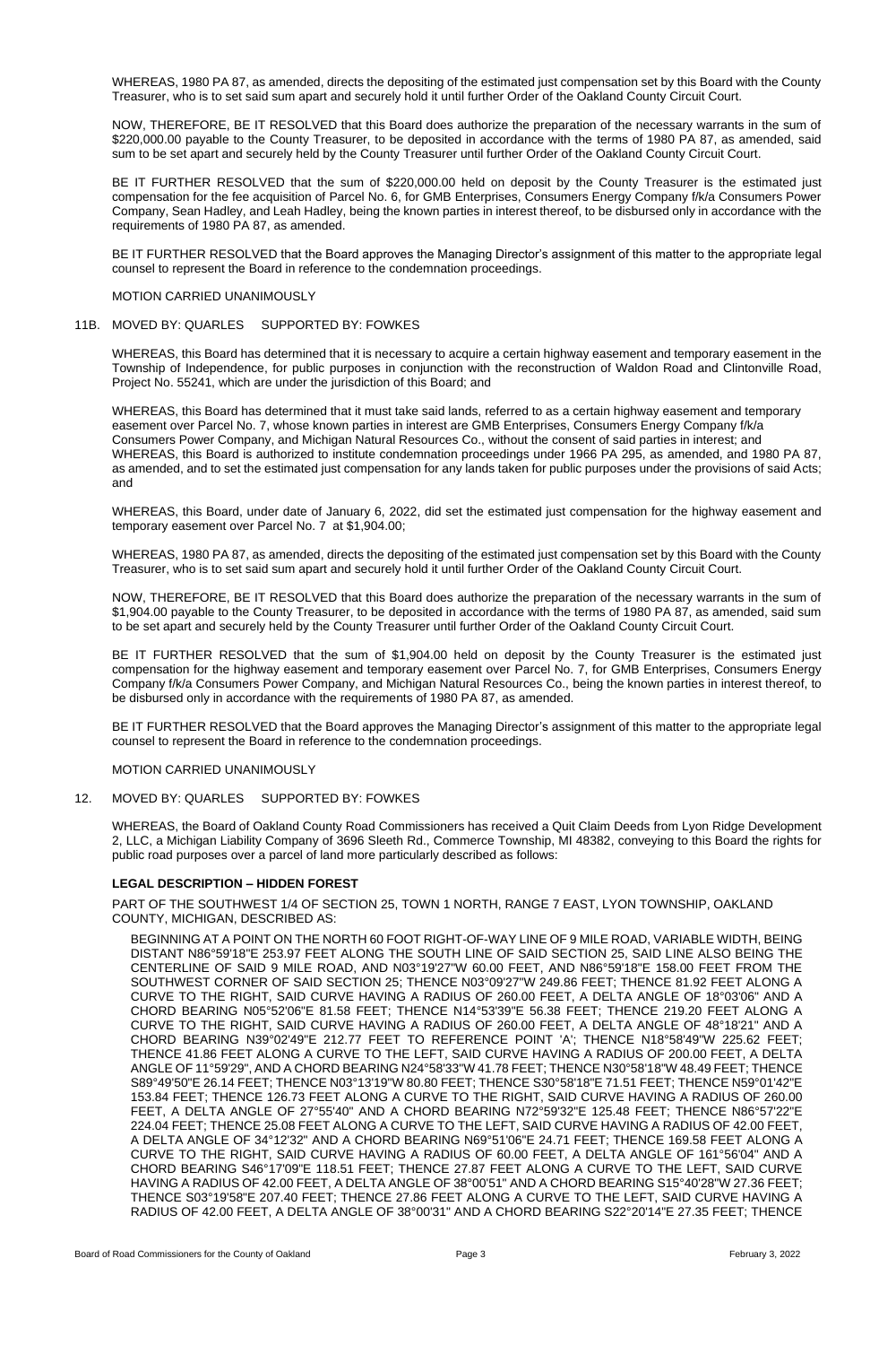WHEREAS, 1980 PA 87, as amended, directs the depositing of the estimated just compensation set by this Board with the County Treasurer, who is to set said sum apart and securely hold it until further Order of the Oakland County Circuit Court.

NOW, THEREFORE, BE IT RESOLVED that this Board does authorize the preparation of the necessary warrants in the sum of \$220,000.00 payable to the County Treasurer, to be deposited in accordance with the terms of 1980 PA 87, as amended, said sum to be set apart and securely held by the County Treasurer until further Order of the Oakland County Circuit Court.

BE IT FURTHER RESOLVED that the sum of \$220,000.00 held on deposit by the County Treasurer is the estimated just compensation for the fee acquisition of Parcel No. 6, for GMB Enterprises, Consumers Energy Company f/k/a Consumers Power Company, Sean Hadley, and Leah Hadley, being the known parties in interest thereof, to be disbursed only in accordance with the requirements of 1980 PA 87, as amended.

BE IT FURTHER RESOLVED that the Board approves the Managing Director's assignment of this matter to the appropriate legal counsel to represent the Board in reference to the condemnation proceedings.

### MOTION CARRIED UNANIMOUSLY

#### 11B. MOVED BY: QUARLES SUPPORTED BY: FOWKES

WHEREAS, this Board has determined that it is necessary to acquire a certain highway easement and temporary easement in the Township of Independence, for public purposes in conjunction with the reconstruction of Waldon Road and Clintonville Road, Project No. 55241, which are under the jurisdiction of this Board; and

WHEREAS, this Board has determined that it must take said lands, referred to as a certain highway easement and temporary easement over Parcel No. 7, whose known parties in interest are GMB Enterprises, Consumers Energy Company f/k/a Consumers Power Company, and Michigan Natural Resources Co., without the consent of said parties in interest; and WHEREAS, this Board is authorized to institute condemnation proceedings under 1966 PA 295, as amended, and 1980 PA 87, as amended, and to set the estimated just compensation for any lands taken for public purposes under the provisions of said Acts; and

WHEREAS, this Board, under date of January 6, 2022, did set the estimated just compensation for the highway easement and temporary easement over Parcel No. 7 at \$1,904.00;

WHEREAS, 1980 PA 87, as amended, directs the depositing of the estimated just compensation set by this Board with the County Treasurer, who is to set said sum apart and securely hold it until further Order of the Oakland County Circuit Court.

NOW, THEREFORE, BE IT RESOLVED that this Board does authorize the preparation of the necessary warrants in the sum of \$1,904.00 payable to the County Treasurer, to be deposited in accordance with the terms of 1980 PA 87, as amended, said sum to be set apart and securely held by the County Treasurer until further Order of the Oakland County Circuit Court.

BE IT FURTHER RESOLVED that the sum of \$1,904.00 held on deposit by the County Treasurer is the estimated just compensation for the highway easement and temporary easement over Parcel No. 7, for GMB Enterprises, Consumers Energy Company f/k/a Consumers Power Company, and Michigan Natural Resources Co., being the known parties in interest thereof, to be disbursed only in accordance with the requirements of 1980 PA 87, as amended.

BE IT FURTHER RESOLVED that the Board approves the Managing Director's assignment of this matter to the appropriate legal counsel to represent the Board in reference to the condemnation proceedings.

#### MOTION CARRIED UNANIMOUSLY

### 12. MOVED BY: QUARLES SUPPORTED BY: FOWKES

WHEREAS, the Board of Oakland County Road Commissioners has received a Quit Claim Deeds from Lyon Ridge Development 2, LLC, a Michigan Liability Company of 3696 Sleeth Rd., Commerce Township, MI 48382, conveying to this Board the rights for public road purposes over a parcel of land more particularly described as follows:

### **LEGAL DESCRIPTION – HIDDEN FOREST**

PART OF THE SOUTHWEST 1/4 OF SECTION 25, TOWN 1 NORTH, RANGE 7 EAST, LYON TOWNSHIP, OAKLAND COUNTY, MICHIGAN, DESCRIBED AS:

BEGINNING AT A POINT ON THE NORTH 60 FOOT RIGHT-OF-WAY LINE OF 9 MILE ROAD, VARIABLE WIDTH, BEING DISTANT N86°59'18"E 253.97 FEET ALONG THE SOUTH LINE OF SAID SECTION 25, SAID LINE ALSO BEING THE CENTERLINE OF SAID 9 MILE ROAD, AND N03°19'27"W 60.00 FEET, AND N86°59'18"E 158.00 FEET FROM THE SOUTHWEST CORNER OF SAID SECTION 25; THENCE N03°09'27"W 249.86 FEET; THENCE 81.92 FEET ALONG A CURVE TO THE RIGHT, SAID CURVE HAVING A RADIUS OF 260.00 FEET, A DELTA ANGLE OF 18°03'06" AND A CHORD BEARING N05°52'06"E 81.58 FEET; THENCE N14°53'39"E 56.38 FEET; THENCE 219.20 FEET ALONG A CURVE TO THE RIGHT, SAID CURVE HAVING A RADIUS OF 260.00 FEET, A DELTA ANGLE OF 48°18'21" AND A CHORD BEARING N39°02'49"E 212.77 FEET TO REFERENCE POINT 'A'; THENCE N18°58'49"W 225.62 FEET; THENCE 41.86 FEET ALONG A CURVE TO THE LEFT, SAID CURVE HAVING A RADIUS OF 200.00 FEET, A DELTA ANGLE OF 11°59'29", AND A CHORD BEARING N24°58'33"W 41.78 FEET; THENCE N30°58'18"W 48.49 FEET; THENCE S89°49'50"E 26.14 FEET; THENCE N03°13'19"W 80.80 FEET; THENCE S30°58'18"E 71.51 FEET; THENCE N59°01'42"E 153.84 FEET; THENCE 126.73 FEET ALONG A CURVE TO THE RIGHT, SAID CURVE HAVING A RADIUS OF 260.00 FEET, A DELTA ANGLE OF 27°55'40" AND A CHORD BEARING N72°59'32"E 125.48 FEET; THENCE N86°57'22"E 224.04 FEET; THENCE 25.08 FEET ALONG A CURVE TO THE LEFT, SAID CURVE HAVING A RADIUS OF 42.00 FEET, A DELTA ANGLE OF 34°12'32" AND A CHORD BEARING N69°51'06"E 24.71 FEET; THENCE 169.58 FEET ALONG A CURVE TO THE RIGHT, SAID CURVE HAVING A RADIUS OF 60.00 FEET, A DELTA ANGLE OF 161°56'04" AND A CHORD BEARING S46°17'09"E 118.51 FEET; THENCE 27.87 FEET ALONG A CURVE TO THE LEFT, SAID CURVE HAVING A RADIUS OF 42.00 FEET, A DELTA ANGLE OF 38°00'51" AND A CHORD BEARING S15°40'28"W 27.36 FEET; THENCE S03°19'58"E 207.40 FEET; THENCE 27.86 FEET ALONG A CURVE TO THE LEFT, SAID CURVE HAVING A RADIUS OF 42.00 FEET, A DELTA ANGLE OF 38°00'31" AND A CHORD BEARING S22°20'14"E 27.35 FEET; THENCE

Board of Road Commissioners for the County of Oakland **Page 3** Page 3 **Page 3 Page 3 Page 3 Page 3 Page 3 Page 3 Page 3 Page 3 Page 3 Page 3 Page 3 Page 3 Page 3 Page 3 Page 3 Page 3 Page 3**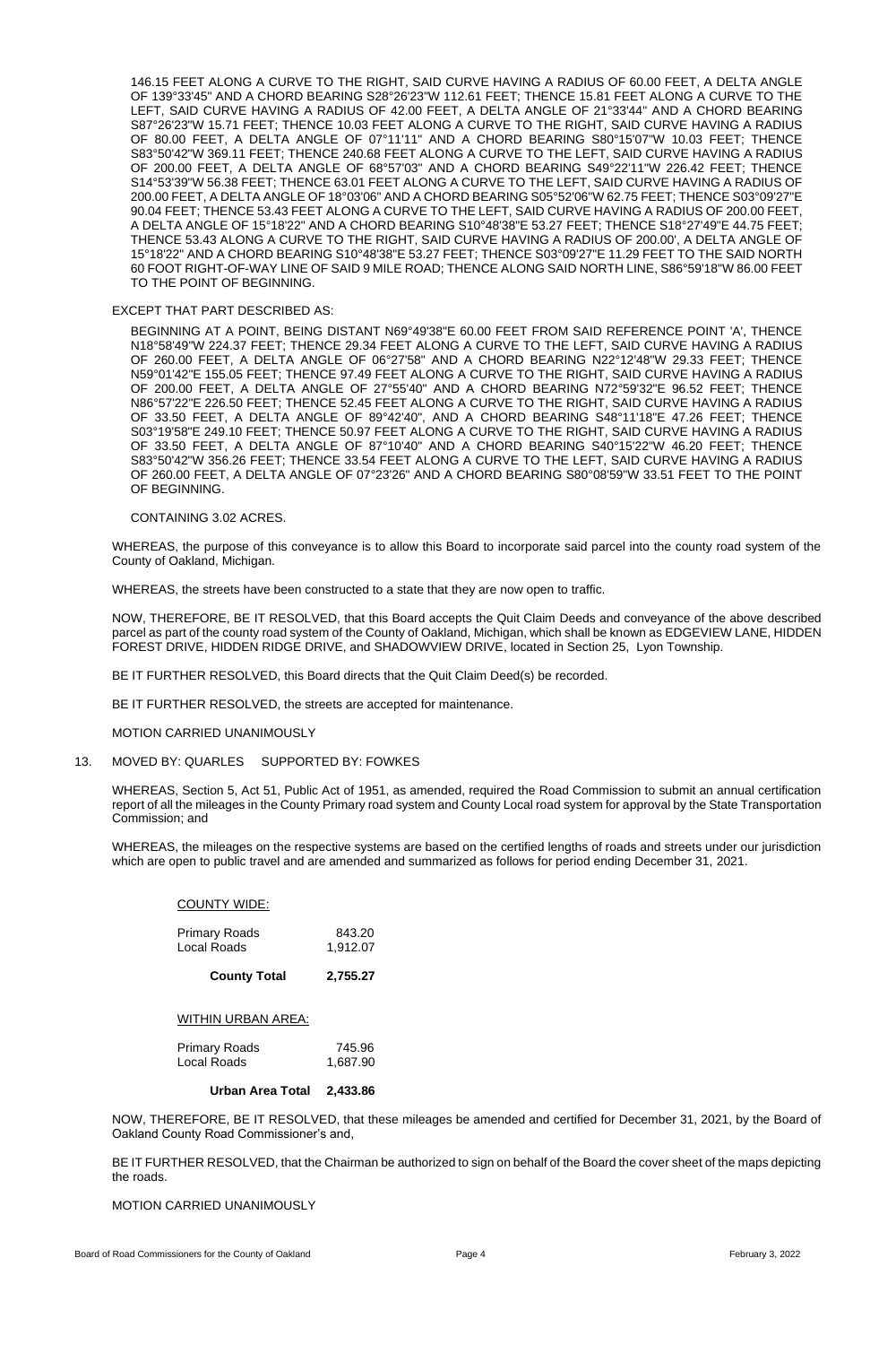146.15 FEET ALONG A CURVE TO THE RIGHT, SAID CURVE HAVING A RADIUS OF 60.00 FEET, A DELTA ANGLE OF 139°33'45" AND A CHORD BEARING S28°26'23"W 112.61 FEET; THENCE 15.81 FEET ALONG A CURVE TO THE LEFT, SAID CURVE HAVING A RADIUS OF 42.00 FEET, A DELTA ANGLE OF 21°33'44" AND A CHORD BEARING S87°26'23"W 15.71 FEET; THENCE 10.03 FEET ALONG A CURVE TO THE RIGHT, SAID CURVE HAVING A RADIUS OF 80.00 FEET, A DELTA ANGLE OF 07°11'11" AND A CHORD BEARING S80°15'07"W 10.03 FEET; THENCE S83°50'42"W 369.11 FEET; THENCE 240.68 FEET ALONG A CURVE TO THE LEFT, SAID CURVE HAVING A RADIUS OF 200.00 FEET, A DELTA ANGLE OF 68°57'03" AND A CHORD BEARING S49°22'11"W 226.42 FEET; THENCE S14°53'39"W 56.38 FEET; THENCE 63.01 FEET ALONG A CURVE TO THE LEFT, SAID CURVE HAVING A RADIUS OF 200.00 FEET, A DELTA ANGLE OF 18°03'06" AND A CHORD BEARING S05°52'06"W 62.75 FEET; THENCE S03°09'27"E 90.04 FEET; THENCE 53.43 FEET ALONG A CURVE TO THE LEFT, SAID CURVE HAVING A RADIUS OF 200.00 FEET, A DELTA ANGLE OF 15°18'22" AND A CHORD BEARING S10°48'38"E 53.27 FEET; THENCE S18°27'49"E 44.75 FEET; THENCE 53.43 ALONG A CURVE TO THE RIGHT, SAID CURVE HAVING A RADIUS OF 200.00', A DELTA ANGLE OF 15°18'22" AND A CHORD BEARING S10°48'38"E 53.27 FEET; THENCE S03°09'27"E 11.29 FEET TO THE SAID NORTH 60 FOOT RIGHT-OF-WAY LINE OF SAID 9 MILE ROAD; THENCE ALONG SAID NORTH LINE, S86°59'18"W 86.00 FEET TO THE POINT OF BEGINNING.

### EXCEPT THAT PART DESCRIBED AS:

BEGINNING AT A POINT, BEING DISTANT N69°49'38"E 60.00 FEET FROM SAID REFERENCE POINT 'A', THENCE N18°58'49"W 224.37 FEET; THENCE 29.34 FEET ALONG A CURVE TO THE LEFT, SAID CURVE HAVING A RADIUS OF 260.00 FEET, A DELTA ANGLE OF 06°27'58" AND A CHORD BEARING N22°12'48"W 29.33 FEET; THENCE N59°01'42"E 155.05 FEET; THENCE 97.49 FEET ALONG A CURVE TO THE RIGHT, SAID CURVE HAVING A RADIUS OF 200.00 FEET, A DELTA ANGLE OF 27°55'40" AND A CHORD BEARING N72°59'32"E 96.52 FEET; THENCE N86°57'22"E 226.50 FEET; THENCE 52.45 FEET ALONG A CURVE TO THE RIGHT, SAID CURVE HAVING A RADIUS OF 33.50 FEET, A DELTA ANGLE OF 89°42'40", AND A CHORD BEARING S48°11'18"E 47.26 FEET; THENCE S03°19'58"E 249.10 FEET; THENCE 50.97 FEET ALONG A CURVE TO THE RIGHT, SAID CURVE HAVING A RADIUS OF 33.50 FEET, A DELTA ANGLE OF 87°10'40" AND A CHORD BEARING S40°15'22"W 46.20 FEET; THENCE S83°50'42"W 356.26 FEET; THENCE 33.54 FEET ALONG A CURVE TO THE LEFT, SAID CURVE HAVING A RADIUS OF 260.00 FEET, A DELTA ANGLE OF 07°23'26" AND A CHORD BEARING S80°08'59"W 33.51 FEET TO THE POINT OF BEGINNING.

### CONTAINING 3.02 ACRES.

WHEREAS, the purpose of this conveyance is to allow this Board to incorporate said parcel into the county road system of the County of Oakland, Michigan.

WHEREAS, the streets have been constructed to a state that they are now open to traffic.

NOW, THEREFORE, BE IT RESOLVED, that this Board accepts the Quit Claim Deeds and conveyance of the above described parcel as part of the county road system of the County of Oakland, Michigan, which shall be known as EDGEVIEW LANE, HIDDEN FOREST DRIVE, HIDDEN RIDGE DRIVE, and SHADOWVIEW DRIVE, located in Section 25, Lyon Township.

BE IT FURTHER RESOLVED, this Board directs that the Quit Claim Deed(s) be recorded.

BE IT FURTHER RESOLVED, the streets are accepted for maintenance.

### MOTION CARRIED UNANIMOUSLY

# 13. MOVED BY: QUARLES SUPPORTED BY: FOWKES

WHEREAS, Section 5, Act 51, Public Act of 1951, as amended, required the Road Commission to submit an annual certification report of all the mileages in the County Primary road system and County Local road system for approval by the State Transportation Commission; and

WHEREAS, the mileages on the respective systems are based on the certified lengths of roads and streets under our jurisdiction which are open to public travel and are amended and summarized as follows for period ending December 31, 2021.

### COUNTY WIDE:

| <b>Primary Roads</b>      | 843.20   |
|---------------------------|----------|
| Local Roads               | 1,912.07 |
| <b>County Total</b>       | 2,755.27 |
| <b>WITHIN URBAN AREA:</b> |          |
| <b>Primary Roads</b>      | 745.96   |
| Local Roads               | 1,687.90 |

**Urban Area Total 2,433.86**

NOW, THEREFORE, BE IT RESOLVED, that these mileages be amended and certified for December 31, 2021, by the Board of Oakland County Road Commissioner's and,

BE IT FURTHER RESOLVED, that the Chairman be authorized to sign on behalf of the Board the cover sheet of the maps depicting the roads.

MOTION CARRIED UNANIMOUSLY

Board of Road Commissioners for the County of Oakland **Page 4** Page 4 **Page 4 Page 4 Page 4 Page 4 Page 4 Page 4 Page 4 Page 4 Page 4 Page 4 Page 4 Page 4 Page 4 Page 4 Page 4 Page 4 Page 4**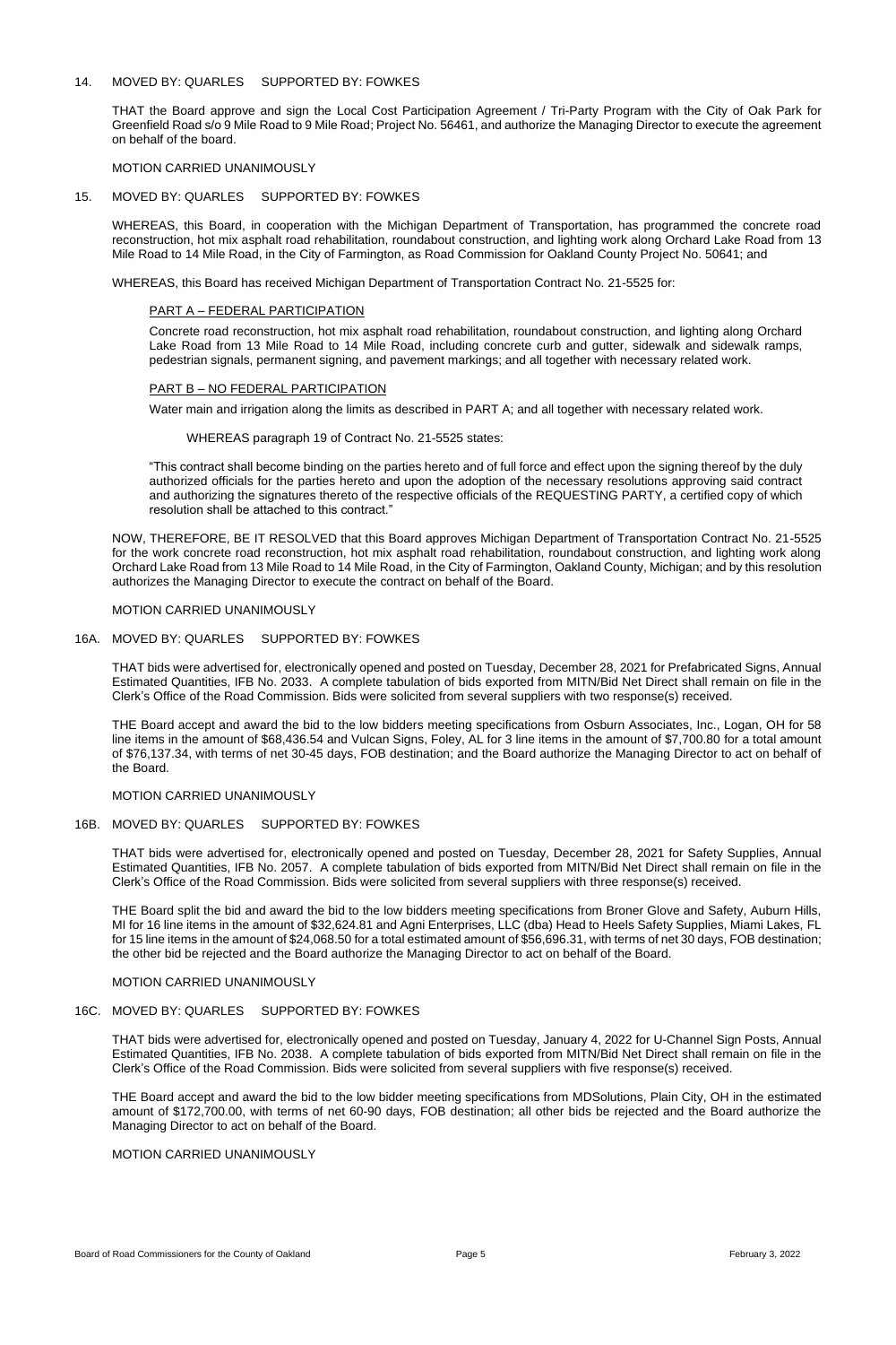### 14. MOVED BY: QUARLES SUPPORTED BY: FOWKES

THAT the Board approve and sign the Local Cost Participation Agreement / Tri-Party Program with the City of Oak Park for Greenfield Road s/o 9 Mile Road to 9 Mile Road; Project No. 56461, and authorize the Managing Director to execute the agreement on behalf of the board.

MOTION CARRIED UNANIMOUSLY

### 15. MOVED BY: QUARLES SUPPORTED BY: FOWKES

WHEREAS, this Board, in cooperation with the Michigan Department of Transportation, has programmed the concrete road reconstruction, hot mix asphalt road rehabilitation, roundabout construction, and lighting work along Orchard Lake Road from 13 Mile Road to 14 Mile Road, in the City of Farmington, as Road Commission for Oakland County Project No. 50641; and

WHEREAS, this Board has received Michigan Department of Transportation Contract No. 21-5525 for:

#### PART A – FEDERAL PARTICIPATION

Concrete road reconstruction, hot mix asphalt road rehabilitation, roundabout construction, and lighting along Orchard Lake Road from 13 Mile Road to 14 Mile Road, including concrete curb and gutter, sidewalk and sidewalk ramps, pedestrian signals, permanent signing, and pavement markings; and all together with necessary related work.

#### PART B – NO FEDERAL PARTICIPATION

Water main and irrigation along the limits as described in PART A; and all together with necessary related work.

#### WHEREAS paragraph 19 of Contract No. 21-5525 states:

"This contract shall become binding on the parties hereto and of full force and effect upon the signing thereof by the duly authorized officials for the parties hereto and upon the adoption of the necessary resolutions approving said contract and authorizing the signatures thereto of the respective officials of the REQUESTING PARTY, a certified copy of which resolution shall be attached to this contract."

NOW, THEREFORE, BE IT RESOLVED that this Board approves Michigan Department of Transportation Contract No. 21-5525 for the work concrete road reconstruction, hot mix asphalt road rehabilitation, roundabout construction, and lighting work along Orchard Lake Road from 13 Mile Road to 14 Mile Road, in the City of Farmington, Oakland County, Michigan; and by this resolution authorizes the Managing Director to execute the contract on behalf of the Board.

### MOTION CARRIED UNANIMOUSLY

### 16A. MOVED BY: QUARLES SUPPORTED BY: FOWKES

THAT bids were advertised for, electronically opened and posted on Tuesday, December 28, 2021 for Prefabricated Signs, Annual Estimated Quantities, IFB No. 2033. A complete tabulation of bids exported from MITN/Bid Net Direct shall remain on file in the Clerk's Office of the Road Commission. Bids were solicited from several suppliers with two response(s) received.

THE Board accept and award the bid to the low bidders meeting specifications from Osburn Associates, Inc., Logan, OH for 58 line items in the amount of \$68,436.54 and Vulcan Signs, Foley, AL for 3 line items in the amount of \$7,700.80 for a total amount of \$76,137.34, with terms of net 30-45 days, FOB destination; and the Board authorize the Managing Director to act on behalf of the Board.

### MOTION CARRIED UNANIMOUSLY

### 16B. MOVED BY: QUARLES SUPPORTED BY: FOWKES

THAT bids were advertised for, electronically opened and posted on Tuesday, December 28, 2021 for Safety Supplies, Annual Estimated Quantities, IFB No. 2057. A complete tabulation of bids exported from MITN/Bid Net Direct shall remain on file in the Clerk's Office of the Road Commission. Bids were solicited from several suppliers with three response(s) received.

THE Board split the bid and award the bid to the low bidders meeting specifications from Broner Glove and Safety, Auburn Hills, MI for 16 line items in the amount of \$32,624.81 and Agni Enterprises, LLC (dba) Head to Heels Safety Supplies, Miami Lakes, FL

for 15 line items in the amount of \$24,068.50 for a total estimated amount of \$56,696.31, with terms of net 30 days, FOB destination; the other bid be rejected and the Board authorize the Managing Director to act on behalf of the Board.

# MOTION CARRIED UNANIMOUSLY

# 16C. MOVED BY: QUARLES SUPPORTED BY: FOWKES

THAT bids were advertised for, electronically opened and posted on Tuesday, January 4, 2022 for U-Channel Sign Posts, Annual Estimated Quantities, IFB No. 2038. A complete tabulation of bids exported from MITN/Bid Net Direct shall remain on file in the Clerk's Office of the Road Commission. Bids were solicited from several suppliers with five response(s) received.

THE Board accept and award the bid to the low bidder meeting specifications from MDSolutions, Plain City, OH in the estimated amount of \$172,700.00, with terms of net 60-90 days, FOB destination; all other bids be rejected and the Board authorize the Managing Director to act on behalf of the Board.

MOTION CARRIED UNANIMOUSLY

Board of Road Commissioners for the County of Oakland **Page 5** Page 5 **Page 5** Page 5 **Page 1 Page 5 Page 5 Page 5 Page 5 Page 5 Page 5 Page 5 Page 5 Page 5 Page 5 Page 5 Page 5 Page 5 Page 5**